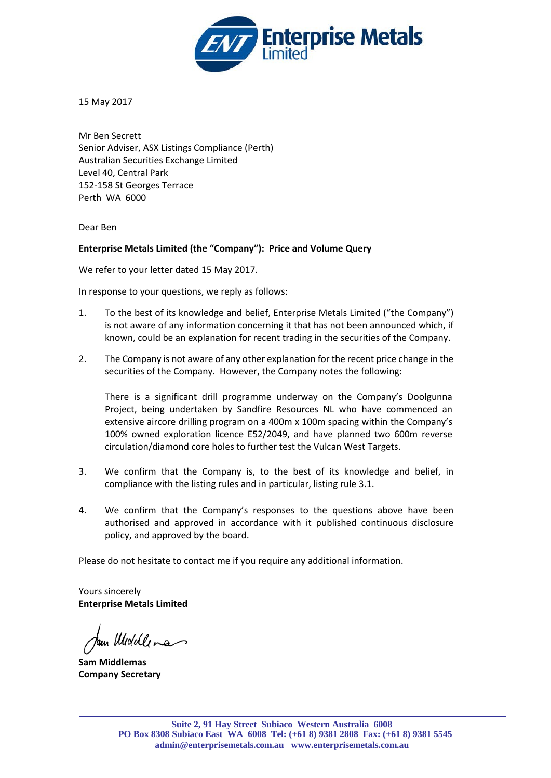

15 May 2017

Mr Ben Secrett Senior Adviser, ASX Listings Compliance (Perth) Australian Securities Exchange Limited Level 40, Central Park 152-158 St Georges Terrace Perth WA 6000

Dear Ben

# **Enterprise Metals Limited (the "Company"): Price and Volume Query**

We refer to your letter dated 15 May 2017.

In response to your questions, we reply as follows:

- 1. To the best of its knowledge and belief, Enterprise Metals Limited ("the Company") is not aware of any information concerning it that has not been announced which, if known, could be an explanation for recent trading in the securities of the Company.
- 2. The Company is not aware of any other explanation for the recent price change in the securities of the Company. However, the Company notes the following:

There is a significant drill programme underway on the Company's Doolgunna Project, being undertaken by Sandfire Resources NL who have commenced an extensive aircore drilling program on a 400m x 100m spacing within the Company's 100% owned exploration licence E52/2049, and have planned two 600m reverse circulation/diamond core holes to further test the Vulcan West Targets.

- 3. We confirm that the Company is, to the best of its knowledge and belief, in compliance with the listing rules and in particular, listing rule 3.1.
- 4. We confirm that the Company's responses to the questions above have been authorised and approved in accordance with it published continuous disclosure policy, and approved by the board.

Please do not hesitate to contact me if you require any additional information.

Yours sincerely **Enterprise Metals Limited** 

Pau Widdlena

**Sam Middlemas Company Secretary**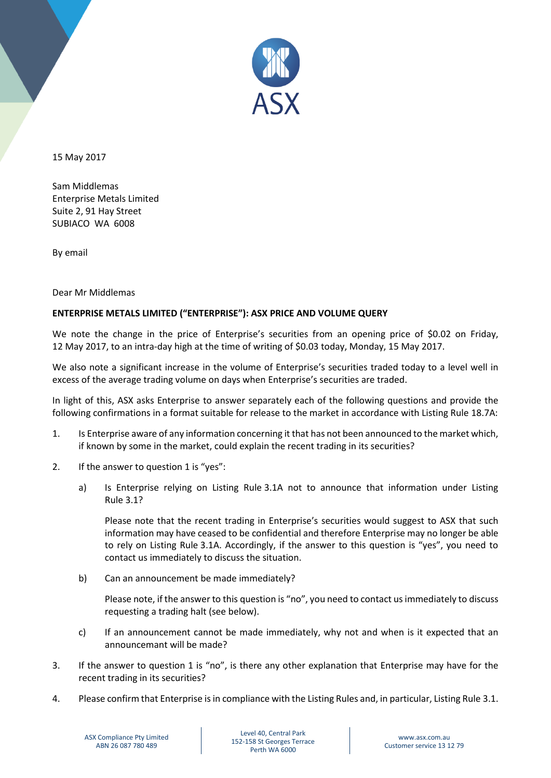

15 May 2017

Sam Middlemas Enterprise Metals Limited Suite 2, 91 Hay Street SUBIACO WA 6008

By email

Dear Mr Middlemas

## **ENTERPRISE METALS LIMITED ("ENTERPRISE"): ASX PRICE AND VOLUME QUERY**

We note the change in the price of Enterprise's securities from an opening price of \$0.02 on Friday, 12 May 2017, to an intra-day high at the time of writing of \$0.03 today, Monday, 15 May 2017.

We also note a significant increase in the volume of Enterprise's securities traded today to a level well in excess of the average trading volume on days when Enterprise's securities are traded.

In light of this, ASX asks Enterprise to answer separately each of the following questions and provide the following confirmations in a format suitable for release to the market in accordance with Listing Rule 18.7A:

- 1. Is Enterprise aware of any information concerning it that has not been announced to the market which, if known by some in the market, could explain the recent trading in its securities?
- 2. If the answer to question 1 is "yes":
	- a) Is Enterprise relying on Listing Rule 3.1A not to announce that information under Listing Rule 3.1?

Please note that the recent trading in Enterprise's securities would suggest to ASX that such information may have ceased to be confidential and therefore Enterprise may no longer be able to rely on Listing Rule 3.1A. Accordingly, if the answer to this question is "yes", you need to contact us immediately to discuss the situation.

b) Can an announcement be made immediately?

Please note, if the answer to this question is "no", you need to contact us immediately to discuss requesting a trading halt (see below).

- c) If an announcement cannot be made immediately, why not and when is it expected that an announcemant will be made?
- 3. If the answer to question 1 is "no", is there any other explanation that Enterprise may have for the recent trading in its securities?
- 4. Please confirm that Enterprise is in compliance with the Listing Rules and, in particular, Listing Rule 3.1.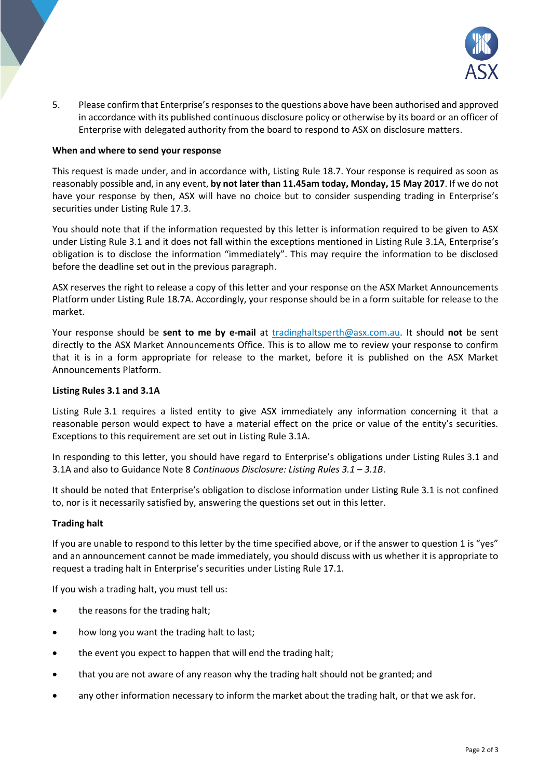

5. Please confirm that Enterprise's responses to the questions above have been authorised and approved in accordance with its published continuous disclosure policy or otherwise by its board or an officer of Enterprise with delegated authority from the board to respond to ASX on disclosure matters.

#### **When and where to send your response**

This request is made under, and in accordance with, Listing Rule 18.7. Your response is required as soon as reasonably possible and, in any event, **by not later than 11.45am today, Monday, 15 May 2017**. If we do not have your response by then, ASX will have no choice but to consider suspending trading in Enterprise's securities under Listing Rule 17.3.

You should note that if the information requested by this letter is information required to be given to ASX under Listing Rule 3.1 and it does not fall within the exceptions mentioned in Listing Rule 3.1A, Enterprise's obligation is to disclose the information "immediately". This may require the information to be disclosed before the deadline set out in the previous paragraph.

ASX reserves the right to release a copy of this letter and your response on the ASX Market Announcements Platform under Listing Rule 18.7A. Accordingly, your response should be in a form suitable for release to the market.

Your response should be **sent to me by e-mail** at [tradinghaltsperth@asx.com.au.](mailto:tradinghaltsperth@asx.com.au) It should **not** be sent directly to the ASX Market Announcements Office. This is to allow me to review your response to confirm that it is in a form appropriate for release to the market, before it is published on the ASX Market Announcements Platform.

#### **Listing Rules 3.1 and 3.1A**

Listing Rule 3.1 requires a listed entity to give ASX immediately any information concerning it that a reasonable person would expect to have a material effect on the price or value of the entity's securities. Exceptions to this requirement are set out in Listing Rule 3.1A.

In responding to this letter, you should have regard to Enterprise's obligations under Listing Rules 3.1 and 3.1A and also to Guidance Note 8 *Continuous Disclosure: Listing Rules 3.1 – 3.1B*.

It should be noted that Enterprise's obligation to disclose information under Listing Rule 3.1 is not confined to, nor is it necessarily satisfied by, answering the questions set out in this letter.

### **Trading halt**

If you are unable to respond to this letter by the time specified above, or if the answer to question 1 is "yes" and an announcement cannot be made immediately, you should discuss with us whether it is appropriate to request a trading halt in Enterprise's securities under Listing Rule 17.1.

If you wish a trading halt, you must tell us:

- the reasons for the trading halt;
- how long you want the trading halt to last;
- the event you expect to happen that will end the trading halt;
- that you are not aware of any reason why the trading halt should not be granted; and
- any other information necessary to inform the market about the trading halt, or that we ask for.